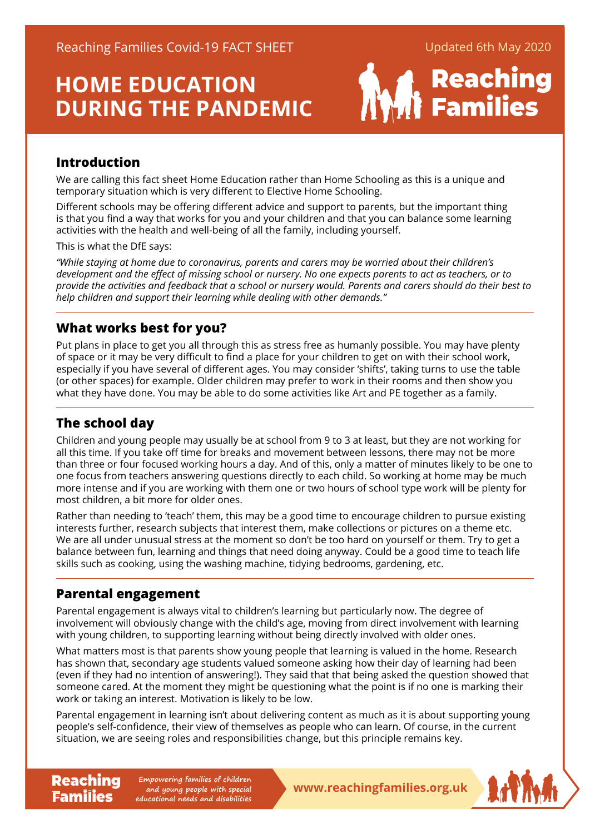# **HOME EDUCATION DURING THE PANDEMIC**



#### **Introduction**

We are calling this fact sheet Home Education rather than Home Schooling as this is a unique and temporary situation which is very different to Elective Home Schooling.

Different schools may be offering different advice and support to parents, but the important thing is that you find a way that works for you and your children and that you can balance some learning activities with the health and well-being of all the family, including yourself.

This is what the DfE says:

*"While staying at home due to coronavirus, parents and carers may be worried about their children's development and the effect of missing school or nursery. No one expects parents to act as teachers, or to provide the activities and feedback that a school or nursery would. Parents and carers should do their best to help children and support their learning while dealing with other demands."*

#### **What works best for you?**

Put plans in place to get you all through this as stress free as humanly possible. You may have plenty of space or it may be very difficult to find a place for your children to get on with their school work, especially if you have several of different ages. You may consider 'shifts', taking turns to use the table (or other spaces) for example. Older children may prefer to work in their rooms and then show you what they have done. You may be able to do some activities like Art and PE together as a family.

### **The school day**

Children and young people may usually be at school from 9 to 3 at least, but they are not working for all this time. If you take off time for breaks and movement between lessons, there may not be more than three or four focused working hours a day. And of this, only a matter of minutes likely to be one to one focus from teachers answering questions directly to each child. So working at home may be much more intense and if you are working with them one or two hours of school type work will be plenty for most children, a bit more for older ones.

Rather than needing to 'teach' them, this may be a good time to encourage children to pursue existing interests further, research subjects that interest them, make collections or pictures on a theme etc. We are all under unusual stress at the moment so don't be too hard on yourself or them. Try to get a balance between fun, learning and things that need doing anyway. Could be a good time to teach life skills such as cooking, using the washing machine, tidying bedrooms, gardening, etc.

#### **Parental engagement**

Families

Parental engagement is always vital to children's learning but particularly now. The degree of involvement will obviously change with the child's age, moving from direct involvement with learning with young children, to supporting learning without being directly involved with older ones.

What matters most is that parents show young people that learning is valued in the home. Research has shown that, secondary age students valued someone asking how their day of learning had been (even if they had no intention of answering!). They said that that being asked the question showed that someone cared. At the moment they might be questioning what the point is if no one is marking their work or taking an interest. Motivation is likely to be low.

Parental engagement in learning isn't about delivering content as much as it is about supporting young people's self-confidence, their view of themselves as people who can learn. Of course, in the current situation, we are seeing roles and responsibilities change, but this principle remains key.

**Reaching** Empowering families of children<br> **Reaching Empone and young people with special**<br> **WWW.reachingfamilies.org.uk Empowering families of children and young people with special educational needs and disabilities**

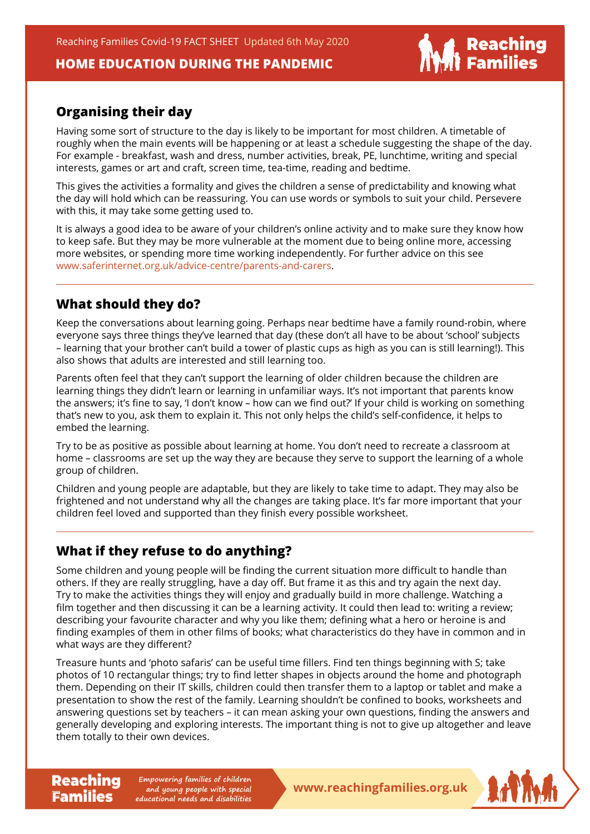Reaching Families Covid-19 FACT SHEET Updated 6th May 2020

#### **HOME EDUCATION DURING THE PANDEMIC**

# | Reachin<mark>g</mark><br>| Families

#### **Organising their day**

Having some sort of structure to the day is likely to be important for most children. A timetable of roughly when the main events will be happening or at least a schedule suggesting the shape of the day. For example - breakfast, wash and dress, number activities, break, PE, lunchtime, writing and special interests, games or art and craft, screen time, tea-time, reading and bedtime.

This gives the activities a formality and gives the children a sense of predictability and knowing what the day will hold which can be reassuring. You can use words or symbols to suit your child. Persevere with this, it may take some getting used to.

It is always a good idea to be aware of your children's online activity and to make sure they know how to keep safe. But they may be more vulnerable at the moment due to being online more, accessing more websites, or spending more time working independently. For further advice on this see [www.saferinternet.org.uk/advice-centre/parents-and-carer](https://www.saferinternet.org.uk/advice-centre/parents-and-carers)s.

#### **What should they do?**

Keep the conversations about learning going. Perhaps near bedtime have a family round-robin, where everyone says three things they've learned that day (these don't all have to be about 'school' subjects – learning that your brother can't build a tower of plastic cups as high as you can is still learning!). This also shows that adults are interested and still learning too.

Parents often feel that they can't support the learning of older children because the children are learning things they didn't learn or learning in unfamiliar ways. It's not important that parents know the answers; it's fine to say, 'I don't know – how can we find out?' If your child is working on something that's new to you, ask them to explain it. This not only helps the child's self-confidence, it helps to embed the learning.

Try to be as positive as possible about learning at home. You don't need to recreate a classroom at home – classrooms are set up the way they are because they serve to support the learning of a whole group of children.

Children and young people are adaptable, but they are likely to take time to adapt. They may also be frightened and not understand why all the changes are taking place. It's far more important that your children feel loved and supported than they finish every possible worksheet.

## **What if they refuse to do anything?**

Some children and young people will be finding the current situation more difficult to handle than others. If they are really struggling, have a day off. But frame it as this and try again the next day. Try to make the activities things they will enjoy and gradually build in more challenge. Watching a film together and then discussing it can be a learning activity. It could then lead to: writing a review; describing your favourite character and why you like them; defining what a hero or heroine is and finding examples of them in other films of books; what characteristics do they have in common and in what ways are they different?

Treasure hunts and 'photo safaris' can be useful time fillers. Find ten things beginning with S; take photos of 10 rectangular things; try to find letter shapes in objects around the home and photograph them. Depending on their IT skills, children could then transfer them to a laptop or tablet and make a presentation to show the rest of the family. Learning shouldn't be confined to books, worksheets and answering questions set by teachers – it can mean asking your own questions, finding the answers and generally developing and exploring interests. The important thing is not to give up altogether and leave them totally to their own devices.

**Reaching** Empowering families of children<br> **Reachingfamilies.org.uk Empowering families of children and young people with special educational needs and disabilities**

Families